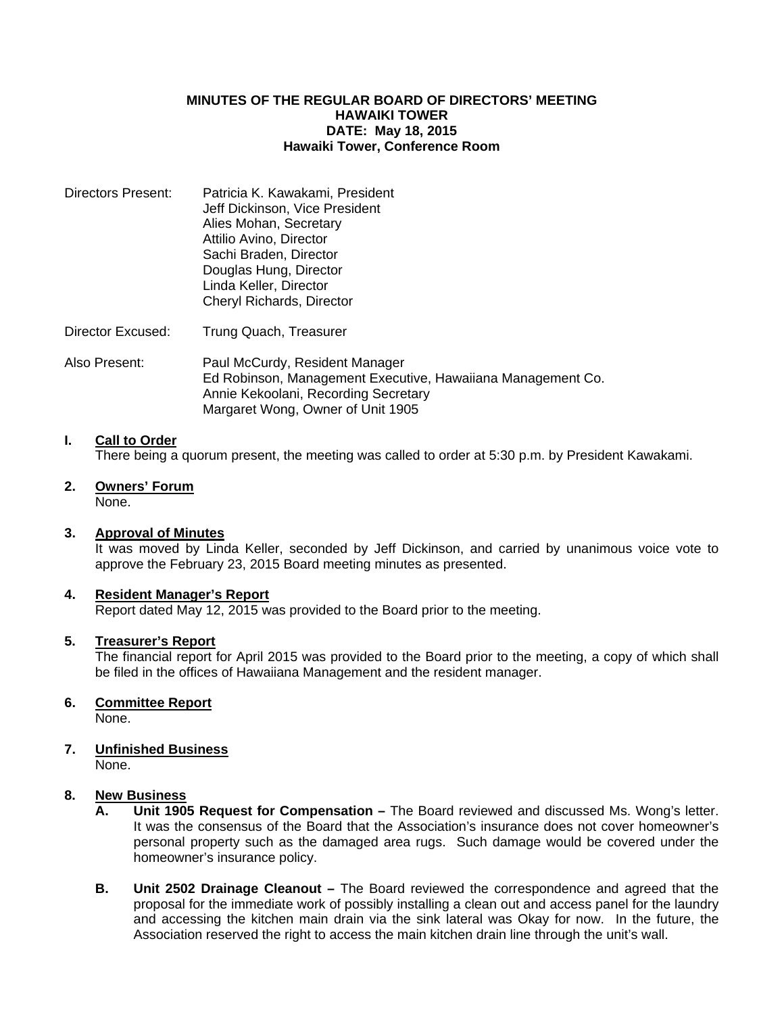#### **MINUTES OF THE REGULAR BOARD OF DIRECTORS' MEETING HAWAIKI TOWER DATE: May 18, 2015 Hawaiki Tower, Conference Room**

- Directors Present: Patricia K. Kawakami, President Jeff Dickinson, Vice President Alies Mohan, Secretary Attilio Avino, Director Sachi Braden, Director Douglas Hung, Director Linda Keller, Director Cheryl Richards, Director
- Director Excused: Trung Quach, Treasurer
- Also Present: Paul McCurdy, Resident Manager Ed Robinson, Management Executive, Hawaiiana Management Co. Annie Kekoolani, Recording Secretary Margaret Wong, Owner of Unit 1905

#### **I. Call to Order**

There being a quorum present, the meeting was called to order at 5:30 p.m. by President Kawakami.

**2. Owners' Forum**

# None.

### **3. Approval of Minutes**

 It was moved by Linda Keller, seconded by Jeff Dickinson, and carried by unanimous voice vote to approve the February 23, 2015 Board meeting minutes as presented.

#### **4. Resident Manager's Report**

Report dated May 12, 2015 was provided to the Board prior to the meeting.

#### **5. Treasurer's Report**

 The financial report for April 2015 was provided to the Board prior to the meeting, a copy of which shall be filed in the offices of Hawaiiana Management and the resident manager.

#### **6. Committee Report**

None.

# **7. Unfinished Business**

None.

#### **8. New Business**

- **A. Unit 1905 Request for Compensation** The Board reviewed and discussed Ms. Wong's letter. It was the consensus of the Board that the Association's insurance does not cover homeowner's personal property such as the damaged area rugs. Such damage would be covered under the homeowner's insurance policy.
- **B. Unit 2502 Drainage Cleanout –** The Board reviewed the correspondence and agreed that the proposal for the immediate work of possibly installing a clean out and access panel for the laundry and accessing the kitchen main drain via the sink lateral was Okay for now. In the future, the Association reserved the right to access the main kitchen drain line through the unit's wall.